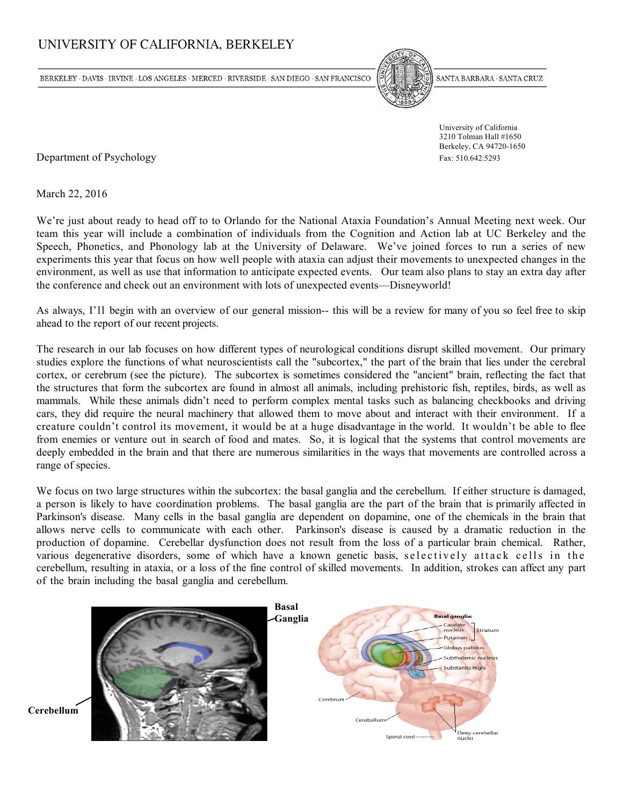# UNIVERSITY OF CALIFORNIA, BERKELEY

BERKELEY · DAVIS · IRVINE · LOS ANGELES · MERCED · RIVERSIDE · SAN DIEGO · SAN FRANCISCO



SANTA BARBARA · SANTA CRUZ

 University of California 3210 Tolman Hall #1650 Berkeley, CA 94720-1650

Department of Psychology Fax: 510.642.5293

March 22, 2016

We're just about ready to head off to to Orlando for the National Ataxia Foundation's Annual Meeting next week. Our team this year will include a combination of individuals from the Cognition and Action lab at UC Berkeley and the Speech, Phonetics, and Phonology lab at the University of Delaware. We've joined forces to run a series of new experiments this year that focus on how well people with ataxia can adjust their movements to unexpected changes in the environment, as well as use that information to anticipate expected events. Our team also plans to stay an extra day after the conference and check out an environment with lots of unexpected events—Disneyworld!

As always, I'll begin with an overview of our general mission-- this will be a review for many of you so feel free to skip ahead to the report of our recent projects.

The research in our lab focuses on how different types of neurological conditions disrupt skilled movement. Our primary studies explore the functions of what neuroscientists call the "subcortex," the part of the brain that lies under the cerebral cortex, or cerebrum (see the picture). The subcortex is sometimes considered the "ancient" brain, reflecting the fact that the structures that form the subcortex are found in almost all animals, including prehistoric fish, reptiles, birds, as well as mammals. While these animals didn't need to perform complex mental tasks such as balancing checkbooks and driving cars, they did require the neural machinery that allowed them to move about and interact with their environment. If a creature couldn't control its movement, it would be at a huge disadvantage in the world. It wouldn't be able to flee from enemies or venture out in search of food and mates. So, it is logical that the systems that control movements are deeply embedded in the brain and that there are numerous similarities in the ways that movements are controlled across a range of species.

We focus on two large structures within the subcortex: the basal ganglia and the cerebellum. If either structure is damaged, a person is likely to have coordination problems. The basal ganglia are the part of the brain that is primarily affected in Parkinson's disease. Many cells in the basal ganglia are dependent on dopamine, one of the chemicals in the brain that allows nerve cells to communicate with each other. Parkinson's disease is caused by a dramatic reduction in the production of dopamine. Cerebellar dysfunction does not result from the loss of a particular brain chemical. Rather, various degenerative disorders, some of which have a known genetic basis, selectively attack cells in the cerebellum, resulting in ataxia, or a loss of the fine control of skilled movements. In addition, strokes can affect any part of the brain including the basal ganglia and cerebellum.

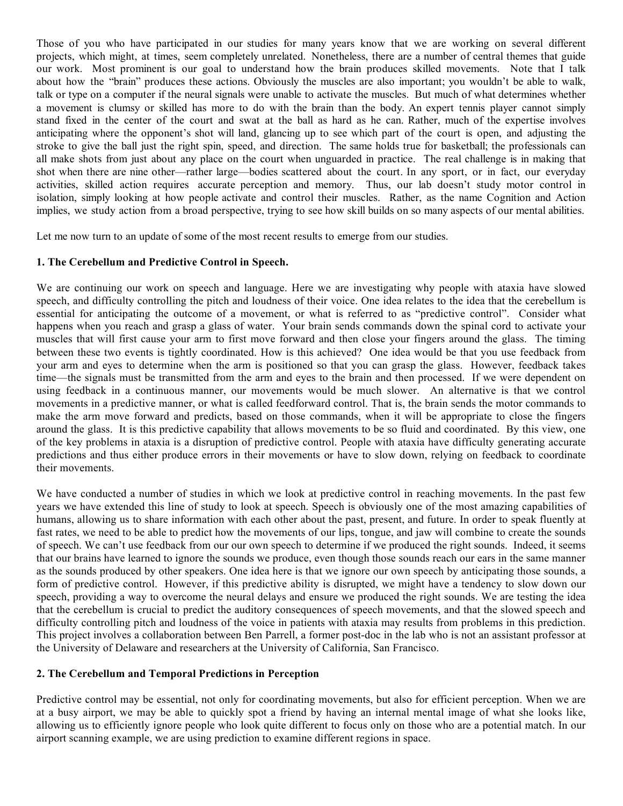Those of you who have participated in our studies for many years know that we are working on several different projects, which might, at times, seem completely unrelated. Nonetheless, there are a number of central themes that guide our work. Most prominent is our goal to understand how the brain produces skilled movements. Note that I talk about how the "brain" produces these actions. Obviously the muscles are also important; you wouldn't be able to walk, talk or type on a computer if the neural signals were unable to activate the muscles. But much of what determines whether a movement is clumsy or skilled has more to do with the brain than the body. An expert tennis player cannot simply stand fixed in the center of the court and swat at the ball as hard as he can. Rather, much of the expertise involves anticipating where the opponent's shot will land, glancing up to see which part of the court is open, and adjusting the stroke to give the ball just the right spin, speed, and direction. The same holds true for basketball; the professionals can all make shots from just about any place on the court when unguarded in practice. The real challenge is in making that shot when there are nine other—rather large—bodies scattered about the court. In any sport, or in fact, our everyday activities, skilled action requires accurate perception and memory. Thus, our lab doesn't study motor control in isolation, simply looking at how people activate and control their muscles. Rather, as the name Cognition and Action implies, we study action from a broad perspective, trying to see how skill builds on so many aspects of our mental abilities.

Let me now turn to an update of some of the most recent results to emerge from our studies.

## **1. The Cerebellum and Predictive Control in Speech.**

We are continuing our work on speech and language. Here we are investigating why people with ataxia have slowed speech, and difficulty controlling the pitch and loudness of their voice. One idea relates to the idea that the cerebellum is essential for anticipating the outcome of a movement, or what is referred to as "predictive control". Consider what happens when you reach and grasp a glass of water. Your brain sends commands down the spinal cord to activate your muscles that will first cause your arm to first move forward and then close your fingers around the glass. The timing between these two events is tightly coordinated. How is this achieved? One idea would be that you use feedback from your arm and eyes to determine when the arm is positioned so that you can grasp the glass. However, feedback takes time—the signals must be transmitted from the arm and eyes to the brain and then processed. If we were dependent on using feedback in a continuous manner, our movements would be much slower. An alternative is that we control movements in a predictive manner, or what is called feedforward control. That is, the brain sends the motor commands to make the arm move forward and predicts, based on those commands, when it will be appropriate to close the fingers around the glass. It is this predictive capability that allows movements to be so fluid and coordinated. By this view, one of the key problems in ataxia is a disruption of predictive control. People with ataxia have difficulty generating accurate predictions and thus either produce errors in their movements or have to slow down, relying on feedback to coordinate their movements.

We have conducted a number of studies in which we look at predictive control in reaching movements. In the past few years we have extended this line of study to look at speech. Speech is obviously one of the most amazing capabilities of humans, allowing us to share information with each other about the past, present, and future. In order to speak fluently at fast rates, we need to be able to predict how the movements of our lips, tongue, and jaw will combine to create the sounds of speech. We can't use feedback from our our own speech to determine if we produced the right sounds. Indeed, it seems that our brains have learned to ignore the sounds we produce, even though those sounds reach our ears in the same manner as the sounds produced by other speakers. One idea here is that we ignore our own speech by anticipating those sounds, a form of predictive control. However, if this predictive ability is disrupted, we might have a tendency to slow down our speech, providing a way to overcome the neural delays and ensure we produced the right sounds. We are testing the idea that the cerebellum is crucial to predict the auditory consequences of speech movements, and that the slowed speech and difficulty controlling pitch and loudness of the voice in patients with ataxia may results from problems in this prediction. This project involves a collaboration between Ben Parrell, a former post-doc in the lab who is not an assistant professor at the University of Delaware and researchers at the University of California, San Francisco.

## **2. The Cerebellum and Temporal Predictions in Perception**

Predictive control may be essential, not only for coordinating movements, but also for efficient perception. When we are at a busy airport, we may be able to quickly spot a friend by having an internal mental image of what she looks like, allowing us to efficiently ignore people who look quite different to focus only on those who are a potential match. In our airport scanning example, we are using prediction to examine different regions in space.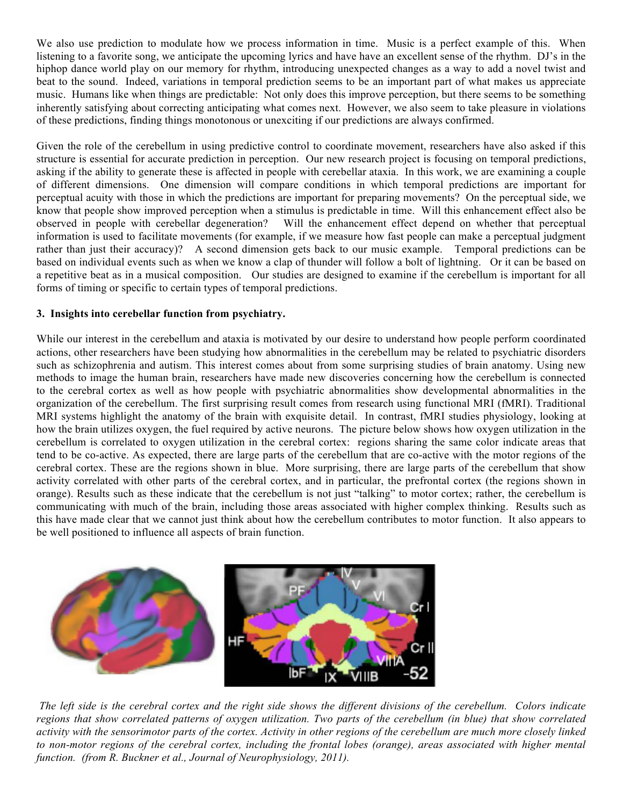We also use prediction to modulate how we process information in time. Music is a perfect example of this. When listening to a favorite song, we anticipate the upcoming lyrics and have have an excellent sense of the rhythm. DJ's in the hiphop dance world play on our memory for rhythm, introducing unexpected changes as a way to add a novel twist and beat to the sound. Indeed, variations in temporal prediction seems to be an important part of what makes us appreciate music. Humans like when things are predictable: Not only does this improve perception, but there seems to be something inherently satisfying about correcting anticipating what comes next. However, we also seem to take pleasure in violations of these predictions, finding things monotonous or unexciting if our predictions are always confirmed.

Given the role of the cerebellum in using predictive control to coordinate movement, researchers have also asked if this structure is essential for accurate prediction in perception. Our new research project is focusing on temporal predictions, asking if the ability to generate these is affected in people with cerebellar ataxia. In this work, we are examining a couple of different dimensions. One dimension will compare conditions in which temporal predictions are important for perceptual acuity with those in which the predictions are important for preparing movements? On the perceptual side, we know that people show improved perception when a stimulus is predictable in time. Will this enhancement effect also be observed in people with cerebellar degeneration? Will the enhancement effect depend on whether that perceptual information is used to facilitate movements (for example, if we measure how fast people can make a perceptual judgment rather than just their accuracy)? A second dimension gets back to our music example. Temporal predictions can be based on individual events such as when we know a clap of thunder will follow a bolt of lightning. Or it can be based on a repetitive beat as in a musical composition. Our studies are designed to examine if the cerebellum is important for all forms of timing or specific to certain types of temporal predictions.

## **3. Insights into cerebellar function from psychiatry.**

While our interest in the cerebellum and ataxia is motivated by our desire to understand how people perform coordinated actions, other researchers have been studying how abnormalities in the cerebellum may be related to psychiatric disorders such as schizophrenia and autism. This interest comes about from some surprising studies of brain anatomy. Using new methods to image the human brain, researchers have made new discoveries concerning how the cerebellum is connected to the cerebral cortex as well as how people with psychiatric abnormalities show developmental abnormalities in the organization of the cerebellum. The first surprising result comes from research using functional MRI (fMRI). Traditional MRI systems highlight the anatomy of the brain with exquisite detail. In contrast, fMRI studies physiology, looking at how the brain utilizes oxygen, the fuel required by active neurons. The picture below shows how oxygen utilization in the cerebellum is correlated to oxygen utilization in the cerebral cortex: regions sharing the same color indicate areas that tend to be co-active. As expected, there are large parts of the cerebellum that are co-active with the motor regions of the cerebral cortex. These are the regions shown in blue. More surprising, there are large parts of the cerebellum that show activity correlated with other parts of the cerebral cortex, and in particular, the prefrontal cortex (the regions shown in orange). Results such as these indicate that the cerebellum is not just "talking" to motor cortex; rather, the cerebellum is communicating with much of the brain, including those areas associated with higher complex thinking. Results such as this have made clear that we cannot just think about how the cerebellum contributes to motor function. It also appears to be well positioned to influence all aspects of brain function.



*The left side is the cerebral cortex and the right side shows the different divisions of the cerebellum. Colors indicate regions that show correlated patterns of oxygen utilization. Two parts of the cerebellum (in blue) that show correlated activity with the sensorimotor parts of the cortex. Activity in other regions of the cerebellum are much more closely linked to non-motor regions of the cerebral cortex, including the frontal lobes (orange), areas associated with higher mental function. (from R. Buckner et al., Journal of Neurophysiology, 2011).*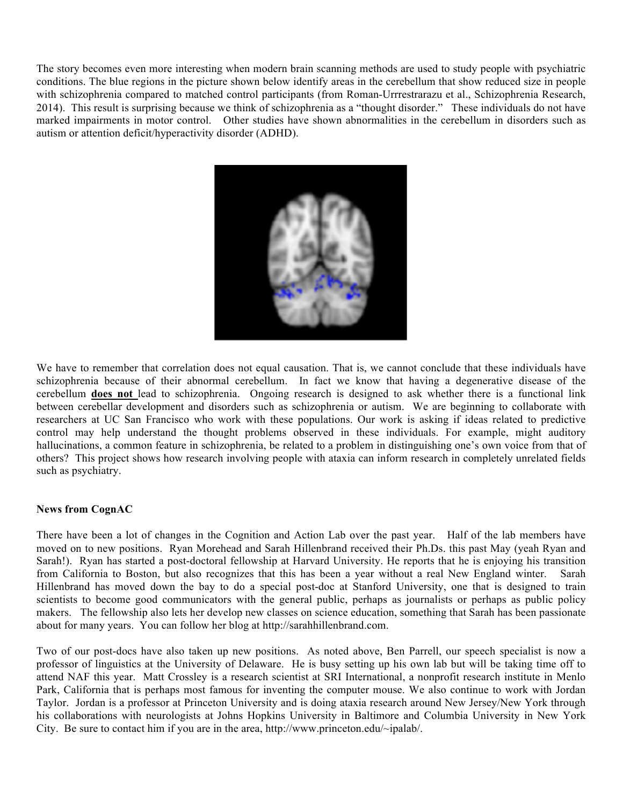The story becomes even more interesting when modern brain scanning methods are used to study people with psychiatric conditions. The blue regions in the picture shown below identify areas in the cerebellum that show reduced size in people with schizophrenia compared to matched control participants (from Roman-Urrrestrarazu et al., Schizophrenia Research, 2014). This result is surprising because we think of schizophrenia as a "thought disorder." These individuals do not have marked impairments in motor control. Other studies have shown abnormalities in the cerebellum in disorders such as autism or attention deficit/hyperactivity disorder (ADHD).



We have to remember that correlation does not equal causation. That is, we cannot conclude that these individuals have schizophrenia because of their abnormal cerebellum. In fact we know that having a degenerative disease of the cerebellum **does not** lead to schizophrenia. Ongoing research is designed to ask whether there is a functional link between cerebellar development and disorders such as schizophrenia or autism. We are beginning to collaborate with researchers at UC San Francisco who work with these populations. Our work is asking if ideas related to predictive control may help understand the thought problems observed in these individuals. For example, might auditory hallucinations, a common feature in schizophrenia, be related to a problem in distinguishing one's own voice from that of others? This project shows how research involving people with ataxia can inform research in completely unrelated fields such as psychiatry.

## **News from CognAC**

There have been a lot of changes in the Cognition and Action Lab over the past year. Half of the lab members have moved on to new positions. Ryan Morehead and Sarah Hillenbrand received their Ph.Ds. this past May (yeah Ryan and Sarah!). Ryan has started a post-doctoral fellowship at Harvard University. He reports that he is enjoying his transition from California to Boston, but also recognizes that this has been a year without a real New England winter. Sarah Hillenbrand has moved down the bay to do a special post-doc at Stanford University, one that is designed to train scientists to become good communicators with the general public, perhaps as journalists or perhaps as public policy makers. The fellowship also lets her develop new classes on science education, something that Sarah has been passionate about for many years. You can follow her blog at http://sarahhillenbrand.com.

Two of our post-docs have also taken up new positions. As noted above, Ben Parrell, our speech specialist is now a professor of linguistics at the University of Delaware. He is busy setting up his own lab but will be taking time off to attend NAF this year. Matt Crossley is a research scientist at SRI International, a nonprofit research institute in Menlo Park, California that is perhaps most famous for inventing the computer mouse. We also continue to work with Jordan Taylor. Jordan is a professor at Princeton University and is doing ataxia research around New Jersey/New York through his collaborations with neurologists at Johns Hopkins University in Baltimore and Columbia University in New York City. Be sure to contact him if you are in the area, http://www.princeton.edu/~ipalab/.